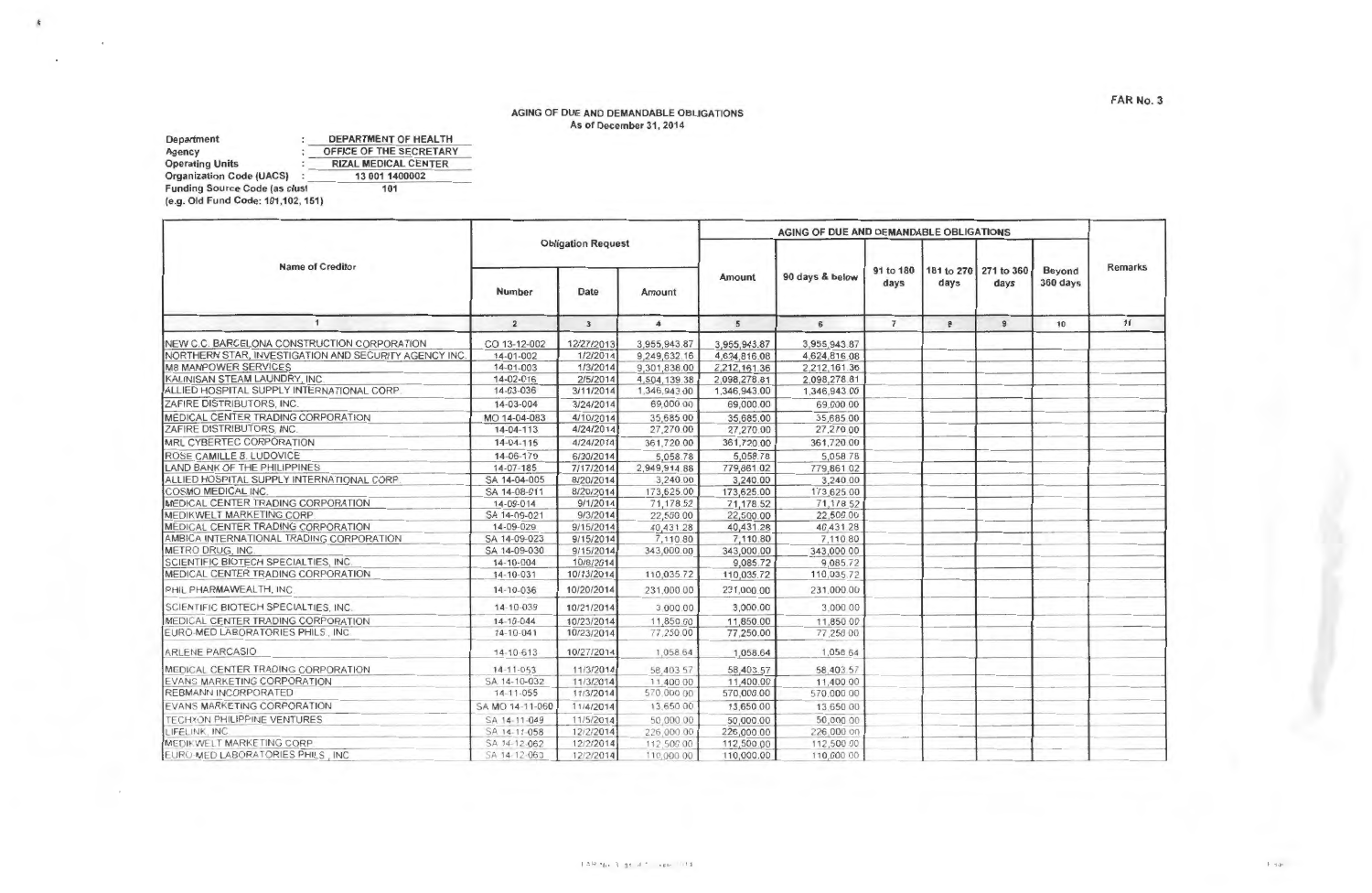## AGING OF DUE AND DEMANDABLE OBLIGATIONS As of December 31, 2014

Department : DEPARTMENT OF HEALTH Agency : OFFICE OF THE SECRETARY Operating Units Organization Code (UACSI Funding Source Code (as clusl (e.g. Old Fund Code: 101,102, 151) RIZAL MEDICAL CENTER 13 001 1400002 101

 $\epsilon$ 

AGING OF DUE AND DEMANDABLE OBLIGATIONS Obligation Request Name of Creditor Remarks 91 to 180 181 to 270 271 to 360 Beyond Amount 90 days & below 360 days days days days Number Date Amount  $\overline{1}$  $\overline{2}$  $\overline{\mathbf{3}}$  $5$  $\Delta$ 6 7 8 9 10 11 NEW C.C. BARCELONA CONSTRUCTION CORPORATION CORPORATION CO 13-12-002 12/27/2013 3,955,943.87 3,955,943.87 3,955,943.87 3,955,943.87 3,955,943.87 3,955,943.87 3,955,943.87 3,955,943.87 3,955,943.87 3,955,943.87 3,955,943.87 NORTHERN STAR, INVESTIGATION AND SECURITY AGENCY INC. M8 MANPOWER SERVICES<br>
MALINISAN STEAM LAUNDRY INC. 
14-02-016 2/5/2014 4 504.139 38 2 098 278 81 2 098 278 81 KALINISAN STEAM LAUNDRY, INC.<br>ALLIED HOSPITAL SUPPLY INTERNATIONAL CORP. 14-03-036 3/11/2014 1.346.943.00 1.346.943.00 1.346.943.00 ALLIED HOSPITAL SUPPLY INTERNATIONAL CORP. ZAFIRE DISTRIBUTORS, INC 14-03-004 3/24/2014 69,000 00 69,000.00 69.000 00 MEDICAL CENTER TRADING CORPORATION MO 14-04-083 4/10/2014 35,685 00 35,685 00 35,685 00 35,685 00 35,685 00 35<br>ZAFIRE DISTRIBUTORS, INC. 27 270 00 27 270 00 27 270 00 27 270 00 27 270 00 ZAFIRE DISTRIBUTORS, INC. MRLCYBERTECCORPORATION 14-04-115 4124/2014 361 ,72000 361,72000 361.72000 - - R~O~S~E~C~A~M~l~L~LE~B.:.:"'U~DO~V~~CE:\_ \_\_\_\_\_\_\_\_\_\_\_ -+-\_.:.:1~4~-06~-1~7~9-+- ~~3~0~/2~0~1~41-----'5~0~5~8~7~8-l----'5~0~58~.7~8-1-----"5~0"'58"-'-'78"-+---- ----+----+-- <sup>~</sup> —<br>
ROSE CAMILLE B. LUDOVICE<br>
LAND BANK OF THE PHILIPPINES<br>
ALLIED HOSPITAL SLIPPI V INTEPNATIONAL COPP.<br>
24.14.04.005 22/07/2014 2,949.914.88 779,841.02.02 779,861.02 779,861.02<br>
24.14.04.005 22/07/2014 2,949.00 2,940.00 ALLIED HOSPITAL SUPPLY INTERNATIONAL CORP SA 14-04-005 8/20/2014 3,240.00 3,240.00 3,240.00 3,240.00 3,240.00<br>COSMO MEDICAL INC. 3625.00 173.625.00 173.625.00 173.625.00 173.625.00 173.625.00 173.625.00 173.625.00 173.625 COSMO MEDICAL INC.  $\sim$ MEDICAL CENTER TRADING CORPORATION 14-09-014 911/2014 71 178 52 71 178.52 7 1 178 52 --- ----l MEDIKWELT MARKETING CORP SA 14-09-021 9/3/2014 22:500.00 22:500.00 22:500.00 MEDICAL CENTER TRADING CORPORATION 1999 14-09-029 9/15/2014 10,431.28 140,431.28 10,431.28 140,431.28 140,431 28 140,431 28 140,431 28 15/2014 15/110.80 15/110.80 15/110.80 15/110.80 15/110.80 15/110.80 15/110.80 15/110.80 AMBICA INTERNATIONAL TRADING CORPORATION \_\_ SA 14-09-023 9/15/2014 -'--.\_,\_ 10"-"'80"+ \_\_ .:.:7c....:...:..:0"'8~0'-l---...,--7.:......:.1=10 so\_ , .. METRO DRUG, INC SCIENTIFIC BIOTECH SPECIALTIES, INC. 14-10-004 10/8/2014 9,085.72 9,085.72 9,085.72 MEDICAL CENTER TRADING CORPORATION 1999 14-10-031 10/13/2014 110,035.72 110,035.72 110,035.72 110,035.72 110,035 72<br>PHIL PHARMAWEALTH, INC. 14-10-036 10/20/2014 231.000 00 231.000 00 231.000 00 1231.000 00 1231.000 00 1231 PHIL PHARMAWEALTH, INC. SCIENTIFIC BIOTECH SPECIALTIES. INC. 14-10-039 10/21/2014 3.000 00 3.000.00 3.000 00  $\overline{a}$ MEDICAL CENTER TRADING CORPORATION \_ f- 14-10 044 10/23/2014 11 850 00 11 850 00 11 850 OQ\_ EURO-MED LABORATORIES PHILS., INC.  $\frac{1}{2}$ A~R-"L"'E='N-"E=--'-PA"'R~C=A,,,\_S,\_,0"-- --------------- \_ 14 0-=6'-'~3 ...\_\_1-'0=/2~7-'/2=0'-'1~4 1,058.64 1.058.64 1.058 64 ----'-----'- - MEDICAL CENTER TRADING CORPORATION 14-11-053 11/3/2014 <sup>58</sup> <sup>403</sup>57 \_ \_,5~8~4:..:0~3~.:...7\_.\_ \_\_ 58,40357 EVANS MARKETING CORPORATION **EVANS MARKETING CORPORATION--** - SA 14-10-032 11/3/2014 11,\_400 00  $\begin{array}{|c|c|c|c|}\n\hline\n11,400.00 & & & 11,400.00 \\
\hline\n570,000.00 & & & 570,000.00\n\end{array}$ -·-\_\_\_ \_\_.. \_\_ ------1 REBMANNINCORPORATED 14 -11 -055 11/3/2014<br>
5A MO 14 -11 -060 11/4/2014<br>
5A 14 -11 -058 12/2/2014 570 000 00  $\begin{array}{ccc} 570,000.00 & \phantom{000} & 570,000.00 \\ 13,650.00 & \phantom{000} & 13,650.00 \\ 50,000.00 & \phantom{000} & 50,000.00 \end{array}$ 13.650.00<br>13.650.00 13.650.00 13 650 00 ---- ---- -- --- TECHXON PHILIPPINE VENTURES<br>LIFELINK, INC. 50~0()() oo\_ SA 14-11-058 226,000.00 226,000.00<br>112,500.00 112,500.00 226,000 00 MEDIK WELT MARKETING CORP SA 14-12-062 12/2/2014<br>SA 14-12-063 12/2/2014 112,500 00 112,500.00 112,500 00<br>110,000.00 110,000 00 - - - EURO-MED LABORATORIES PHILS . INC. SA 14-12-063 110,000 00 110,000.00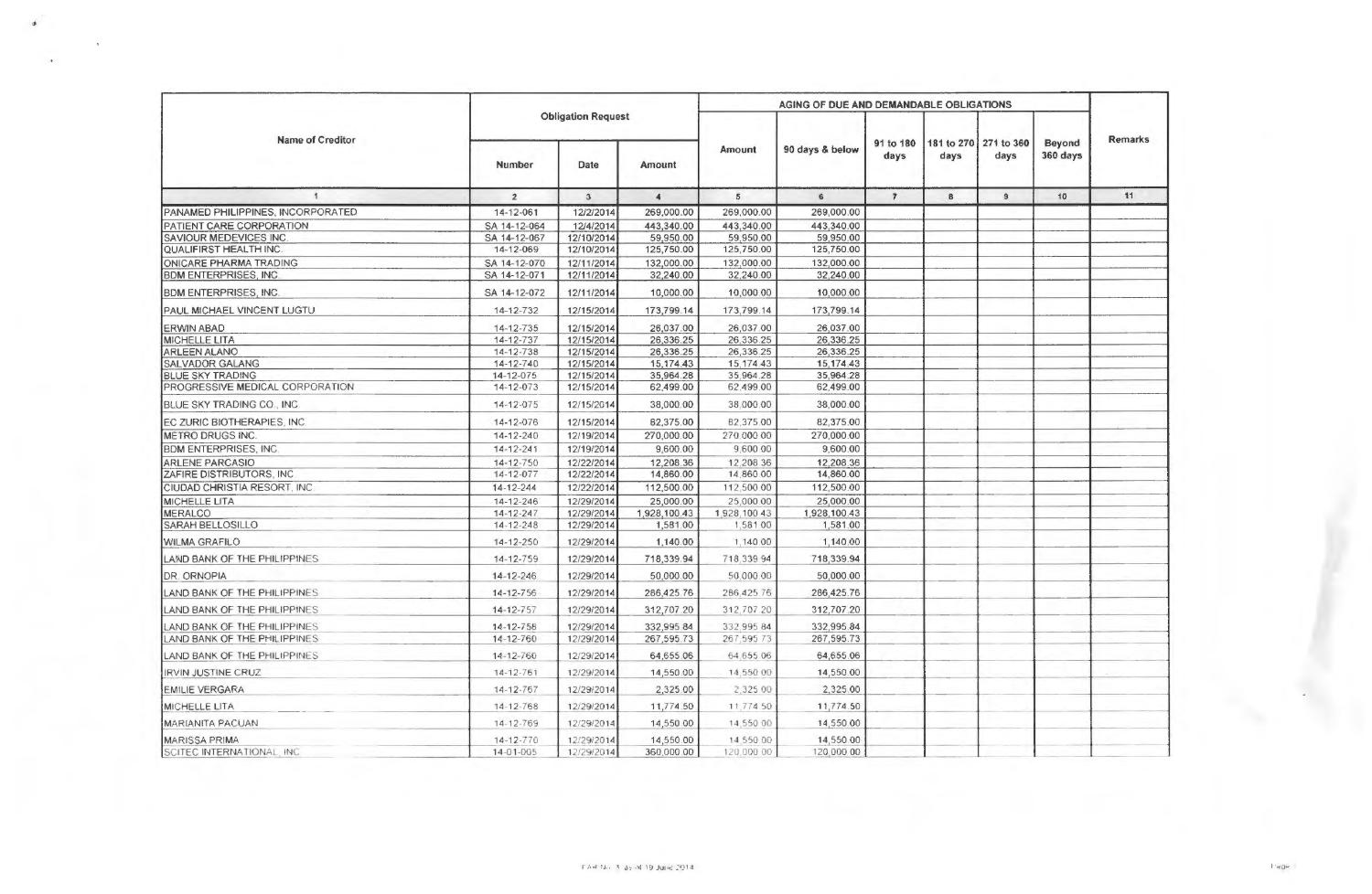| <b>Name of Creditor</b>           | <b>Obligation Request</b> |              |                      | AGING OF DUE AND DEMANDABLE OBLIGATIONS |                 |                |                       |                |          |                |
|-----------------------------------|---------------------------|--------------|----------------------|-----------------------------------------|-----------------|----------------|-----------------------|----------------|----------|----------------|
|                                   |                           |              |                      | Amount                                  | 90 days & below | 91 to 180      | 181 to 270 271 to 360 |                | Beyond   | <b>Remarks</b> |
|                                   | Number                    | Date         | Amount               |                                         |                 | days           | days                  | days           | 360 days |                |
| $\overline{1}$                    | $\overline{2}$            | $\mathbf{3}$ | $\blacktriangleleft$ | 5                                       | 6               | $\overline{7}$ | 8                     | $\overline{9}$ | 10       | 11             |
| PANAMED PHILIPPINES, INCORPORATED | 14-12-061                 | 12/2/2014    | 269,000.00           | 269,000.00                              | 269,000.00      |                |                       |                |          |                |
| PATIENT CARE CORPORATION          | SA 14-12-064              | 12/4/2014    | 443,340.00           | 443,340.00                              | 443,340.00      |                |                       |                |          |                |
| <b>SAVIOUR MEDEVICES INC.</b>     | SA 14-12-067              | 12/10/2014   | 59,950.00            | 59,950.00                               | 59,950.00       |                |                       |                |          |                |
| QUALIFIRST HEALTH INC.            | 14-12-069                 | 12/10/2014   | 125,750.00           | 125,750.00                              | 125,750.00      |                |                       |                |          |                |
| ONICARE PHARMA TRADING            | SA 14-12-070              | 12/11/2014   | 132,000.00           | 132,000.00                              | 132,000.00      |                |                       |                |          |                |
| <b>BDM ENTERPRISES, INC.</b>      | SA 14-12-071              | 12/11/2014   | 32,240.00            | 32,240.00                               | 32,240.00       |                |                       |                |          |                |
| <b>BDM ENTERPRISES, INC.</b>      | SA 14-12-072              | 12/11/2014   | 10,000.00            | 10,000.00                               | 10,000.00       |                |                       |                |          |                |
| PAUL MICHAEL VINCENT LUGTU        | 14-12-732                 | 12/15/2014   | 173,799.14           | 173,799.14                              | 173,799.14      |                |                       |                |          |                |
| <b>ERWIN ABAD</b>                 | 14-12-735                 | 12/15/2014   | 26,037.00            | 26,037.00                               | 26,037.00       |                |                       |                |          |                |
| <b>MICHELLE LITA</b>              | 14-12-737                 | 12/15/2014   | 26,336.25            | 26,336.25                               | 26,336.25       |                |                       |                |          |                |
| <b>ARLEEN ALANO</b>               | 14-12-738                 | 12/15/2014   | 26,336.25            | 26,336.25                               | 26,336.25       |                |                       |                |          |                |
| <b>SALVADOR GALANG</b>            | 14-12-740                 | 12/15/2014   | 15, 174.43           | 15.174.43                               | 15.174.43       |                |                       |                |          |                |
| <b>BLUE SKY TRADING</b>           | 14-12-075                 | 12/15/2014   | 35,964.28            | 35,964.28                               | 35,964.28       |                |                       |                |          |                |
| PROGRESSIVE MEDICAL CORPORATION   | 14-12-073                 | 12/15/2014   | 62,499.00            | 62,499.00                               | 62,499.00       |                |                       |                |          |                |
| BLUE SKY TRADING CO., INC.        | 14-12-075                 | 12/15/2014   | 38,000.00            | 38,000.00                               | 38,000.00       |                |                       |                |          |                |
| EC ZURIC BIOTHERAPIES, INC.       | 14-12-076                 | 12/15/2014   | 82,375.00            | 82,375.00                               | 82,375,00       |                |                       |                |          |                |
| METRO DRUGS INC.                  | 14-12-240                 | 12/19/2014   | 270,000.00           | 270,000.00                              | 270.000.00      |                |                       |                |          |                |
| <b>BDM ENTERPRISES, INC.</b>      | $14 - 12 - 241$           | 12/19/2014   | 9,600.00             | 9,600.00                                | 9,600.00        |                |                       |                |          |                |
| <b>ARLENE PARCASIO</b>            | $14 - 12 - 750$           | 12/22/2014   | 12,208.36            | 12.208.36                               | 12.208.36       |                |                       |                |          |                |
| ZAFIRE DISTRIBUTORS, INC.         | 14-12-077                 | 12/22/2014   | 14,860.00            | 14,860.00                               | 14,860.00       |                |                       |                |          |                |
| CIUDAD CHRISTIA RESORT, INC.      | 14-12-244                 | 12/22/2014   | 112,500.00           | 112,500.00                              | 112,500.00      |                |                       |                |          |                |
| <b>MICHELLE LITA</b>              | 14-12-246                 | 12/29/2014   | 25,000.00            | 25,000.00                               | 25,000.00       |                |                       |                |          |                |
| <b>MERALCO</b>                    | 14-12-247                 | 12/29/2014   | 1,928,100.43         | 1,928,100 43                            | 1,928,100.43    |                |                       |                |          |                |
| SARAH BELLOSILLO                  | $14 - 12 - 248$           | 12/29/2014   | 1,581.00             | 1,581.00                                | 1,581.00        |                |                       |                |          |                |
| <b>WILMA GRAFILO</b>              | 14-12-250                 | 12/29/2014   | 1,140.00             | 1,140.00                                | 1,140.00        |                |                       |                |          |                |
| LAND BANK OF THE PHILIPPINES      | 14-12-759                 | 12/29/2014   | 718,339.94           | 718,339.94                              | 718,339.94      |                |                       |                |          |                |
| DR. ORNOPIA                       | 14-12-246                 | 12/29/2014   | 50,000.00            | 50,000.00                               | 50,000.00       |                |                       |                |          |                |
| LAND BANK OF THE PHILIPPINES      | 14-12-756                 | 12/29/2014   | 286,425.76           | 286,425.76                              | 286,425.76      |                |                       |                |          |                |
| LAND BANK OF THE PHILIPPINES      | 14-12-757                 | 12/29/2014   | 312,707.20           | 312,707.20                              | 312,707.20      |                |                       |                |          |                |
| LAND BANK OF THE PHILIPPINES      | 14-12-758                 | 12/29/2014   | 332,995.84           | 332,995 84                              | 332,995.84      |                |                       |                |          |                |
| LAND BANK OF THE PHILIPPINES      | 14-12-760                 | 12/29/2014   | 267,595.73           | 267,59573                               | 267,595.73      |                |                       |                |          |                |
| LAND BANK OF THE PHILIPPINES      | 14-12-760                 | 12/29/2014   | 64,655.06            | 64.655.06                               | 64,655.06       |                |                       |                |          |                |
| <b>IRVIN JUSTINE CRUZ</b>         | 14-12-761                 | 12/29/2014   | 14,550.00            | 14,550.00                               | 14,550.00       |                |                       |                |          |                |
| <b>EMILIE VERGARA</b>             | 14-12-767                 | 12/29/2014   | 2,325.00             | 2,325 00                                | 2,325.00        |                |                       |                |          |                |
| <b>MICHELLE LITA</b>              | 14-12-768                 | 12/29/2014   | 11,774.50            | 11,774.50                               | 11,774.50       |                |                       |                |          |                |
| <b>MARIANITA PACUAN</b>           | 14-12-769                 | 12/29/2014   | 14,550.00            | 14,550.00                               | 14,550.00       |                |                       |                |          |                |
| <b>MARISSA PRIMA</b>              | 14-12-770                 | 12/29/2014   | 14,550.00            | 14,550.00                               | 14,550.00       |                |                       |                |          |                |
| SCITEC INTERNATIONAL, INC.        | 14-01-005                 | 12/29/2014   | 360,000.00           | 120,000 00                              | 120,000.00      |                |                       |                |          |                |

is.

 $\ddot{\phantom{a}}$